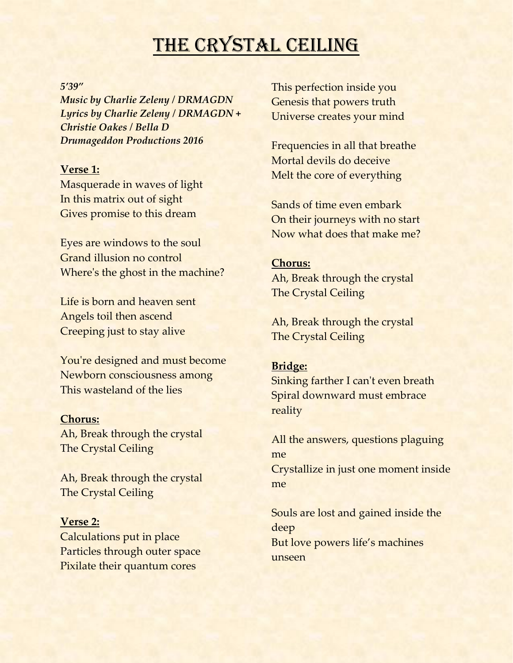# THE CRYSTAL CEILING

#### *5'39"*

*Music by Charlie Zeleny / DRMAGDN Lyrics by Charlie Zeleny / DRMAGDN + Christie Oakes / Bella D Drumageddon Productions 2016*

### **Verse 1:**

Masquerade in waves of light In this matrix out of sight Gives promise to this dream

Eyes are windows to the soul Grand illusion no control Where's the ghost in the machine?

Life is born and heaven sent Angels toil then ascend Creeping just to stay alive

You're designed and must become Newborn consciousness among This wasteland of the lies

#### **Chorus:**

Ah, Break through the crystal The Crystal Ceiling

Ah, Break through the crystal The Crystal Ceiling

#### **Verse 2:**

Calculations put in place Particles through outer space Pixilate their quantum cores

This perfection inside you Genesis that powers truth Universe creates your mind

Frequencies in all that breathe Mortal devils do deceive Melt the core of everything

Sands of time even embark On their journeys with no start Now what does that make me?

#### **Chorus:**

Ah, Break through the crystal The Crystal Ceiling

Ah, Break through the crystal The Crystal Ceiling

#### **Bridge:**

Sinking farther I can't even breath Spiral downward must embrace reality

All the answers, questions plaguing me

Crystallize in just one moment inside me

Souls are lost and gained inside the deep But love powers life's machines unseen